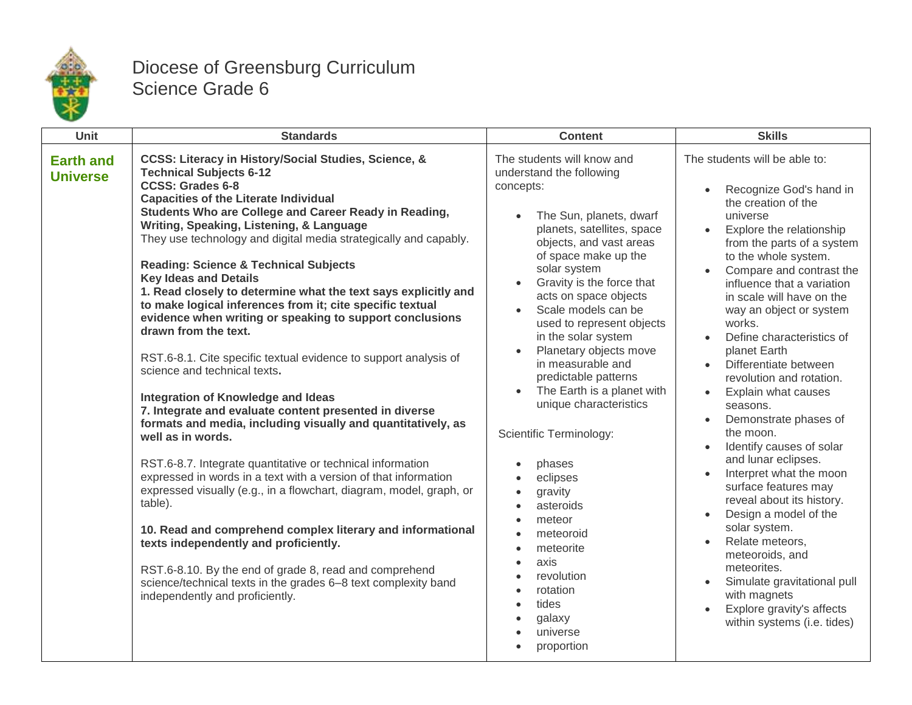

## Diocese of Greensburg Curriculum Science Grade 6

| Unit                                | <b>Standards</b>                                                                                                                                                                                                                                                                                                                                                                                                                                                                                                                                                                                                                                                                                                                                                                                                                                                                                                                                                                                                                                                                                                                                                                                                                                                                                                                                                                                                                    | <b>Content</b>                                                                                                                                                                                                                                                                                                                                                                                                                                                                                                                                                                                                                                                                                                  | <b>Skills</b>                                                                                                                                                                                                                                                                                                                                                                                                                                                                                                                                                                                                                                                                                                                                                                                                                                                                         |
|-------------------------------------|-------------------------------------------------------------------------------------------------------------------------------------------------------------------------------------------------------------------------------------------------------------------------------------------------------------------------------------------------------------------------------------------------------------------------------------------------------------------------------------------------------------------------------------------------------------------------------------------------------------------------------------------------------------------------------------------------------------------------------------------------------------------------------------------------------------------------------------------------------------------------------------------------------------------------------------------------------------------------------------------------------------------------------------------------------------------------------------------------------------------------------------------------------------------------------------------------------------------------------------------------------------------------------------------------------------------------------------------------------------------------------------------------------------------------------------|-----------------------------------------------------------------------------------------------------------------------------------------------------------------------------------------------------------------------------------------------------------------------------------------------------------------------------------------------------------------------------------------------------------------------------------------------------------------------------------------------------------------------------------------------------------------------------------------------------------------------------------------------------------------------------------------------------------------|---------------------------------------------------------------------------------------------------------------------------------------------------------------------------------------------------------------------------------------------------------------------------------------------------------------------------------------------------------------------------------------------------------------------------------------------------------------------------------------------------------------------------------------------------------------------------------------------------------------------------------------------------------------------------------------------------------------------------------------------------------------------------------------------------------------------------------------------------------------------------------------|
| <b>Earth and</b><br><b>Universe</b> | CCSS: Literacy in History/Social Studies, Science, &<br><b>Technical Subjects 6-12</b><br><b>CCSS: Grades 6-8</b><br><b>Capacities of the Literate Individual</b><br>Students Who are College and Career Ready in Reading,<br>Writing, Speaking, Listening, & Language<br>They use technology and digital media strategically and capably.<br><b>Reading: Science &amp; Technical Subjects</b><br><b>Key Ideas and Details</b><br>1. Read closely to determine what the text says explicitly and<br>to make logical inferences from it; cite specific textual<br>evidence when writing or speaking to support conclusions<br>drawn from the text.<br>RST.6-8.1. Cite specific textual evidence to support analysis of<br>science and technical texts.<br>Integration of Knowledge and Ideas<br>7. Integrate and evaluate content presented in diverse<br>formats and media, including visually and quantitatively, as<br>well as in words.<br>RST.6-8.7. Integrate quantitative or technical information<br>expressed in words in a text with a version of that information<br>expressed visually (e.g., in a flowchart, diagram, model, graph, or<br>table).<br>10. Read and comprehend complex literary and informational<br>texts independently and proficiently.<br>RST.6-8.10. By the end of grade 8, read and comprehend<br>science/technical texts in the grades 6-8 text complexity band<br>independently and proficiently. | The students will know and<br>understand the following<br>concepts:<br>The Sun, planets, dwarf<br>planets, satellites, space<br>objects, and vast areas<br>of space make up the<br>solar system<br>Gravity is the force that<br>acts on space objects<br>Scale models can be<br>used to represent objects<br>in the solar system<br>Planetary objects move<br>in measurable and<br>predictable patterns<br>The Earth is a planet with<br>$\bullet$<br>unique characteristics<br>Scientific Terminology:<br>phases<br>$\bullet$<br>eclipses<br>$\bullet$<br>gravity<br>$\bullet$<br>asteroids<br>meteor<br>meteoroid<br>meteorite<br>axis<br>revolution<br>rotation<br>tides<br>galaxy<br>universe<br>proportion | The students will be able to:<br>Recognize God's hand in<br>$\bullet$<br>the creation of the<br>universe<br>Explore the relationship<br>from the parts of a system<br>to the whole system.<br>Compare and contrast the<br>$\bullet$<br>influence that a variation<br>in scale will have on the<br>way an object or system<br>works.<br>Define characteristics of<br>planet Earth<br>Differentiate between<br>revolution and rotation.<br>Explain what causes<br>$\bullet$<br>seasons.<br>Demonstrate phases of<br>the moon.<br>Identify causes of solar<br>$\bullet$<br>and lunar eclipses.<br>Interpret what the moon<br>surface features may<br>reveal about its history.<br>Design a model of the<br>solar system.<br>Relate meteors,<br>meteoroids, and<br>meteorites.<br>Simulate gravitational pull<br>with magnets<br>Explore gravity's affects<br>within systems (i.e. tides) |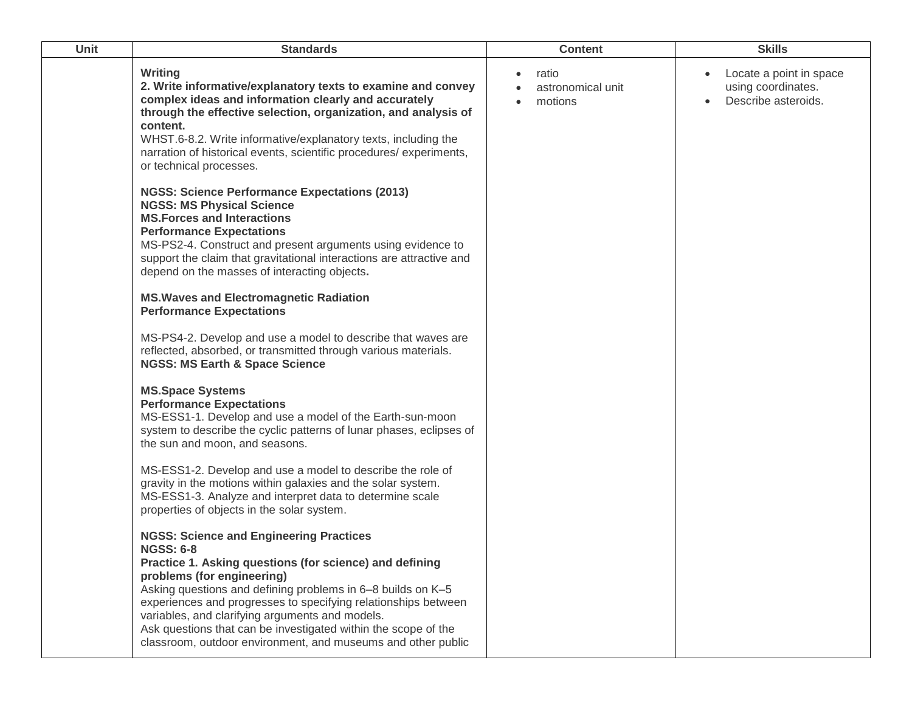| Unit | <b>Standards</b>                                                                                                                                                                                                                                                                                                                                                                                                                                                                  | <b>Content</b>                                     | <b>Skills</b>                                                        |
|------|-----------------------------------------------------------------------------------------------------------------------------------------------------------------------------------------------------------------------------------------------------------------------------------------------------------------------------------------------------------------------------------------------------------------------------------------------------------------------------------|----------------------------------------------------|----------------------------------------------------------------------|
|      | Writing<br>2. Write informative/explanatory texts to examine and convey<br>complex ideas and information clearly and accurately<br>through the effective selection, organization, and analysis of<br>content.<br>WHST.6-8.2. Write informative/explanatory texts, including the<br>narration of historical events, scientific procedures/experiments,<br>or technical processes.                                                                                                  | ratio<br>$\bullet$<br>astronomical unit<br>motions | Locate a point in space<br>using coordinates.<br>Describe asteroids. |
|      | <b>NGSS: Science Performance Expectations (2013)</b><br><b>NGSS: MS Physical Science</b><br><b>MS. Forces and Interactions</b><br><b>Performance Expectations</b><br>MS-PS2-4. Construct and present arguments using evidence to<br>support the claim that gravitational interactions are attractive and<br>depend on the masses of interacting objects.                                                                                                                          |                                                    |                                                                      |
|      | <b>MS. Waves and Electromagnetic Radiation</b><br><b>Performance Expectations</b>                                                                                                                                                                                                                                                                                                                                                                                                 |                                                    |                                                                      |
|      | MS-PS4-2. Develop and use a model to describe that waves are<br>reflected, absorbed, or transmitted through various materials.<br><b>NGSS: MS Earth &amp; Space Science</b>                                                                                                                                                                                                                                                                                                       |                                                    |                                                                      |
|      | <b>MS.Space Systems</b><br><b>Performance Expectations</b><br>MS-ESS1-1. Develop and use a model of the Earth-sun-moon<br>system to describe the cyclic patterns of lunar phases, eclipses of<br>the sun and moon, and seasons.                                                                                                                                                                                                                                                   |                                                    |                                                                      |
|      | MS-ESS1-2. Develop and use a model to describe the role of<br>gravity in the motions within galaxies and the solar system.<br>MS-ESS1-3. Analyze and interpret data to determine scale<br>properties of objects in the solar system.                                                                                                                                                                                                                                              |                                                    |                                                                      |
|      | <b>NGSS: Science and Engineering Practices</b><br><b>NGSS: 6-8</b><br>Practice 1. Asking questions (for science) and defining<br>problems (for engineering)<br>Asking questions and defining problems in 6-8 builds on K-5<br>experiences and progresses to specifying relationships between<br>variables, and clarifying arguments and models.<br>Ask questions that can be investigated within the scope of the<br>classroom, outdoor environment, and museums and other public |                                                    |                                                                      |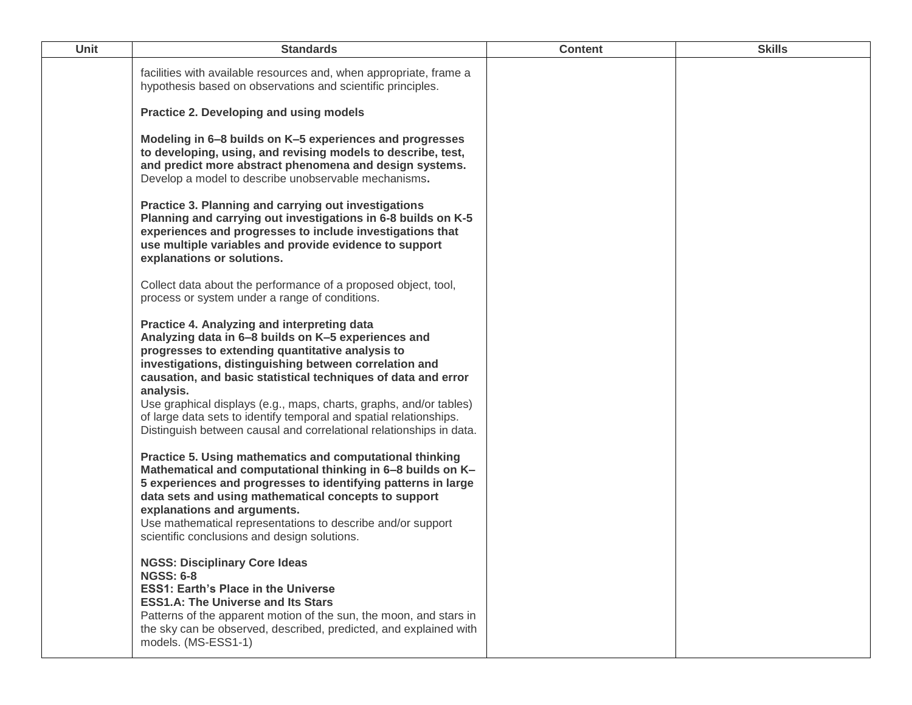| Unit | <b>Standards</b>                                                                                                                                                                                                                                                                                                                                                                                                                                                                                                  | <b>Content</b> | <b>Skills</b> |
|------|-------------------------------------------------------------------------------------------------------------------------------------------------------------------------------------------------------------------------------------------------------------------------------------------------------------------------------------------------------------------------------------------------------------------------------------------------------------------------------------------------------------------|----------------|---------------|
|      | facilities with available resources and, when appropriate, frame a<br>hypothesis based on observations and scientific principles.                                                                                                                                                                                                                                                                                                                                                                                 |                |               |
|      | Practice 2. Developing and using models                                                                                                                                                                                                                                                                                                                                                                                                                                                                           |                |               |
|      | Modeling in 6-8 builds on K-5 experiences and progresses<br>to developing, using, and revising models to describe, test,<br>and predict more abstract phenomena and design systems.<br>Develop a model to describe unobservable mechanisms.                                                                                                                                                                                                                                                                       |                |               |
|      | Practice 3. Planning and carrying out investigations<br>Planning and carrying out investigations in 6-8 builds on K-5<br>experiences and progresses to include investigations that<br>use multiple variables and provide evidence to support<br>explanations or solutions.                                                                                                                                                                                                                                        |                |               |
|      | Collect data about the performance of a proposed object, tool,<br>process or system under a range of conditions.                                                                                                                                                                                                                                                                                                                                                                                                  |                |               |
|      | Practice 4. Analyzing and interpreting data<br>Analyzing data in 6-8 builds on K-5 experiences and<br>progresses to extending quantitative analysis to<br>investigations, distinguishing between correlation and<br>causation, and basic statistical techniques of data and error<br>analysis.<br>Use graphical displays (e.g., maps, charts, graphs, and/or tables)<br>of large data sets to identify temporal and spatial relationships.<br>Distinguish between causal and correlational relationships in data. |                |               |
|      | Practice 5. Using mathematics and computational thinking<br>Mathematical and computational thinking in 6-8 builds on K-<br>5 experiences and progresses to identifying patterns in large<br>data sets and using mathematical concepts to support<br>explanations and arguments.<br>Use mathematical representations to describe and/or support<br>scientific conclusions and design solutions.                                                                                                                    |                |               |
|      | <b>NGSS: Disciplinary Core Ideas</b><br><b>NGSS: 6-8</b><br><b>ESS1: Earth's Place in the Universe</b><br><b>ESS1.A: The Universe and Its Stars</b><br>Patterns of the apparent motion of the sun, the moon, and stars in<br>the sky can be observed, described, predicted, and explained with<br>models. (MS-ESS1-1)                                                                                                                                                                                             |                |               |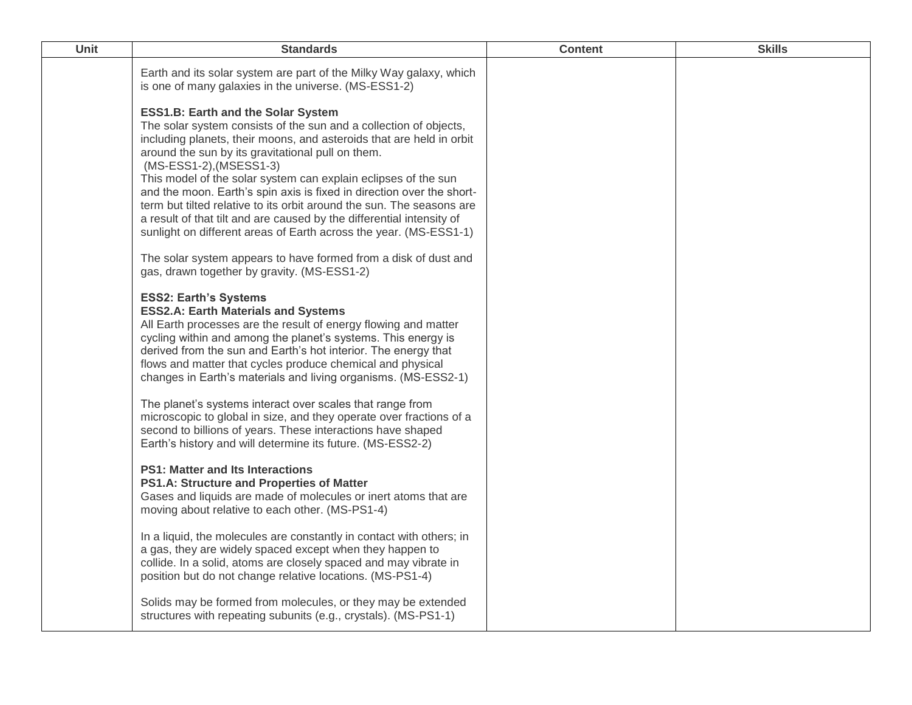| Unit | <b>Standards</b>                                                                                                                                                                                                                                                                                                                                                                                                                                                                                                                                                                                                                                                                  | <b>Content</b> | <b>Skills</b> |
|------|-----------------------------------------------------------------------------------------------------------------------------------------------------------------------------------------------------------------------------------------------------------------------------------------------------------------------------------------------------------------------------------------------------------------------------------------------------------------------------------------------------------------------------------------------------------------------------------------------------------------------------------------------------------------------------------|----------------|---------------|
|      | Earth and its solar system are part of the Milky Way galaxy, which<br>is one of many galaxies in the universe. (MS-ESS1-2)                                                                                                                                                                                                                                                                                                                                                                                                                                                                                                                                                        |                |               |
|      | <b>ESS1.B: Earth and the Solar System</b><br>The solar system consists of the sun and a collection of objects,<br>including planets, their moons, and asteroids that are held in orbit<br>around the sun by its gravitational pull on them.<br>(MS-ESS1-2), (MSESS1-3)<br>This model of the solar system can explain eclipses of the sun<br>and the moon. Earth's spin axis is fixed in direction over the short-<br>term but tilted relative to its orbit around the sun. The seasons are<br>a result of that tilt and are caused by the differential intensity of<br>sunlight on different areas of Earth across the year. (MS-ESS1-1)                                          |                |               |
|      | The solar system appears to have formed from a disk of dust and<br>gas, drawn together by gravity. (MS-ESS1-2)                                                                                                                                                                                                                                                                                                                                                                                                                                                                                                                                                                    |                |               |
|      | <b>ESS2: Earth's Systems</b><br><b>ESS2.A: Earth Materials and Systems</b><br>All Earth processes are the result of energy flowing and matter<br>cycling within and among the planet's systems. This energy is<br>derived from the sun and Earth's hot interior. The energy that<br>flows and matter that cycles produce chemical and physical<br>changes in Earth's materials and living organisms. (MS-ESS2-1)<br>The planet's systems interact over scales that range from<br>microscopic to global in size, and they operate over fractions of a<br>second to billions of years. These interactions have shaped<br>Earth's history and will determine its future. (MS-ESS2-2) |                |               |
|      | <b>PS1: Matter and Its Interactions</b><br>PS1.A: Structure and Properties of Matter<br>Gases and liquids are made of molecules or inert atoms that are<br>moving about relative to each other. (MS-PS1-4)                                                                                                                                                                                                                                                                                                                                                                                                                                                                        |                |               |
|      | In a liquid, the molecules are constantly in contact with others; in<br>a gas, they are widely spaced except when they happen to<br>collide. In a solid, atoms are closely spaced and may vibrate in<br>position but do not change relative locations. (MS-PS1-4)                                                                                                                                                                                                                                                                                                                                                                                                                 |                |               |
|      | Solids may be formed from molecules, or they may be extended<br>structures with repeating subunits (e.g., crystals). (MS-PS1-1)                                                                                                                                                                                                                                                                                                                                                                                                                                                                                                                                                   |                |               |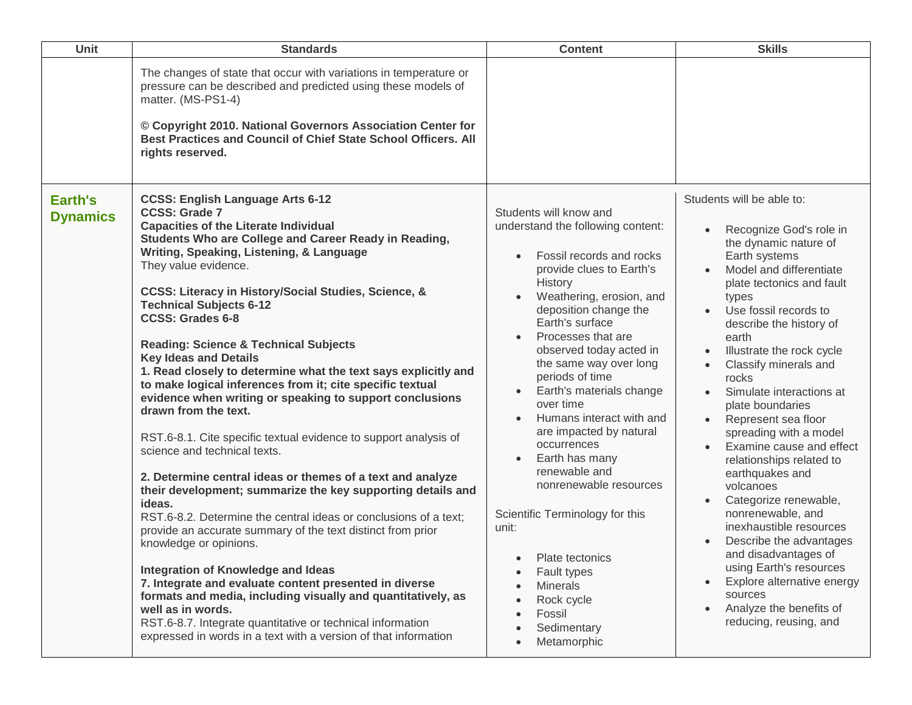| Unit                       | <b>Standards</b>                                                                                                                                                                                                                                                                                                                                                                                                                                                                                                                                                                                                                                                                                                                                                                                                                                                                                                                                                                                                                                                                                                                                                                                                                                                                                                                                                                                                  | <b>Content</b>                                                                                                                                                                                                                                                                                                                                                                                                                                                                                                                                                                                                                          | <b>Skills</b>                                                                                                                                                                                                                                                                                                                                                                                                                                                                                                                                                                                                                                                                                                                                                                                 |
|----------------------------|-------------------------------------------------------------------------------------------------------------------------------------------------------------------------------------------------------------------------------------------------------------------------------------------------------------------------------------------------------------------------------------------------------------------------------------------------------------------------------------------------------------------------------------------------------------------------------------------------------------------------------------------------------------------------------------------------------------------------------------------------------------------------------------------------------------------------------------------------------------------------------------------------------------------------------------------------------------------------------------------------------------------------------------------------------------------------------------------------------------------------------------------------------------------------------------------------------------------------------------------------------------------------------------------------------------------------------------------------------------------------------------------------------------------|-----------------------------------------------------------------------------------------------------------------------------------------------------------------------------------------------------------------------------------------------------------------------------------------------------------------------------------------------------------------------------------------------------------------------------------------------------------------------------------------------------------------------------------------------------------------------------------------------------------------------------------------|-----------------------------------------------------------------------------------------------------------------------------------------------------------------------------------------------------------------------------------------------------------------------------------------------------------------------------------------------------------------------------------------------------------------------------------------------------------------------------------------------------------------------------------------------------------------------------------------------------------------------------------------------------------------------------------------------------------------------------------------------------------------------------------------------|
|                            | The changes of state that occur with variations in temperature or<br>pressure can be described and predicted using these models of<br>matter. (MS-PS1-4)<br>© Copyright 2010. National Governors Association Center for<br>Best Practices and Council of Chief State School Officers. All<br>rights reserved.                                                                                                                                                                                                                                                                                                                                                                                                                                                                                                                                                                                                                                                                                                                                                                                                                                                                                                                                                                                                                                                                                                     |                                                                                                                                                                                                                                                                                                                                                                                                                                                                                                                                                                                                                                         |                                                                                                                                                                                                                                                                                                                                                                                                                                                                                                                                                                                                                                                                                                                                                                                               |
| Earth's<br><b>Dynamics</b> | <b>CCSS: English Language Arts 6-12</b><br><b>CCSS: Grade 7</b><br><b>Capacities of the Literate Individual</b><br>Students Who are College and Career Ready in Reading,<br>Writing, Speaking, Listening, & Language<br>They value evidence.<br><b>CCSS: Literacy in History/Social Studies, Science, &amp;</b><br><b>Technical Subjects 6-12</b><br><b>CCSS: Grades 6-8</b><br><b>Reading: Science &amp; Technical Subjects</b><br><b>Key Ideas and Details</b><br>1. Read closely to determine what the text says explicitly and<br>to make logical inferences from it; cite specific textual<br>evidence when writing or speaking to support conclusions<br>drawn from the text.<br>RST.6-8.1. Cite specific textual evidence to support analysis of<br>science and technical texts.<br>2. Determine central ideas or themes of a text and analyze<br>their development; summarize the key supporting details and<br>ideas.<br>RST.6-8.2. Determine the central ideas or conclusions of a text;<br>provide an accurate summary of the text distinct from prior<br>knowledge or opinions.<br>Integration of Knowledge and Ideas<br>7. Integrate and evaluate content presented in diverse<br>formats and media, including visually and quantitatively, as<br>well as in words.<br>RST.6-8.7. Integrate quantitative or technical information<br>expressed in words in a text with a version of that information | Students will know and<br>understand the following content:<br>Fossil records and rocks<br>provide clues to Earth's<br>History<br>Weathering, erosion, and<br>deposition change the<br>Earth's surface<br>Processes that are<br>observed today acted in<br>the same way over long<br>periods of time<br>Earth's materials change<br>over time<br>Humans interact with and<br>are impacted by natural<br>occurrences<br>Earth has many<br>renewable and<br>nonrenewable resources<br>Scientific Terminology for this<br>unit:<br>Plate tectonics<br>Fault types<br><b>Minerals</b><br>Rock cycle<br>Fossil<br>Sedimentary<br>Metamorphic | Students will be able to:<br>Recognize God's role in<br>$\bullet$<br>the dynamic nature of<br>Earth systems<br>Model and differentiate<br>plate tectonics and fault<br>types<br>Use fossil records to<br>$\bullet$<br>describe the history of<br>earth<br>Illustrate the rock cycle<br>Classify minerals and<br>rocks<br>Simulate interactions at<br>plate boundaries<br>Represent sea floor<br>spreading with a model<br>Examine cause and effect<br>relationships related to<br>earthquakes and<br>volcanoes<br>Categorize renewable,<br>nonrenewable, and<br>inexhaustible resources<br>Describe the advantages<br>and disadvantages of<br>using Earth's resources<br>Explore alternative energy<br>$\bullet$<br>sources<br>Analyze the benefits of<br>$\bullet$<br>reducing, reusing, and |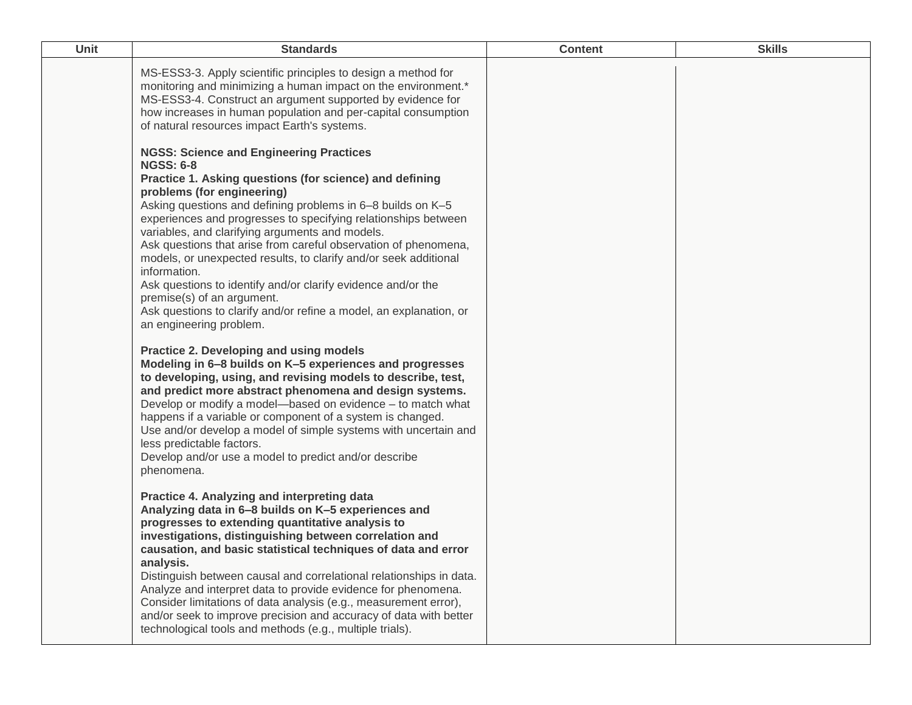| <b>Unit</b> | <b>Standards</b>                                                                                                                                                                                                                                                                                                                                                                                                                                                                                                                                                                                                                                                                                      | <b>Content</b> | <b>Skills</b> |
|-------------|-------------------------------------------------------------------------------------------------------------------------------------------------------------------------------------------------------------------------------------------------------------------------------------------------------------------------------------------------------------------------------------------------------------------------------------------------------------------------------------------------------------------------------------------------------------------------------------------------------------------------------------------------------------------------------------------------------|----------------|---------------|
|             | MS-ESS3-3. Apply scientific principles to design a method for<br>monitoring and minimizing a human impact on the environment.*<br>MS-ESS3-4. Construct an argument supported by evidence for<br>how increases in human population and per-capital consumption<br>of natural resources impact Earth's systems.                                                                                                                                                                                                                                                                                                                                                                                         |                |               |
|             | <b>NGSS: Science and Engineering Practices</b><br><b>NGSS: 6-8</b><br>Practice 1. Asking questions (for science) and defining<br>problems (for engineering)<br>Asking questions and defining problems in 6-8 builds on K-5<br>experiences and progresses to specifying relationships between<br>variables, and clarifying arguments and models.<br>Ask questions that arise from careful observation of phenomena,<br>models, or unexpected results, to clarify and/or seek additional<br>information.<br>Ask questions to identify and/or clarify evidence and/or the<br>premise(s) of an argument.<br>Ask questions to clarify and/or refine a model, an explanation, or<br>an engineering problem. |                |               |
|             | Practice 2. Developing and using models<br>Modeling in 6-8 builds on K-5 experiences and progresses<br>to developing, using, and revising models to describe, test,<br>and predict more abstract phenomena and design systems.<br>Develop or modify a model-based on evidence - to match what<br>happens if a variable or component of a system is changed.<br>Use and/or develop a model of simple systems with uncertain and<br>less predictable factors.<br>Develop and/or use a model to predict and/or describe<br>phenomena.                                                                                                                                                                    |                |               |
|             | Practice 4. Analyzing and interpreting data<br>Analyzing data in 6-8 builds on K-5 experiences and<br>progresses to extending quantitative analysis to<br>investigations, distinguishing between correlation and<br>causation, and basic statistical techniques of data and error<br>analysis.<br>Distinguish between causal and correlational relationships in data.<br>Analyze and interpret data to provide evidence for phenomena.<br>Consider limitations of data analysis (e.g., measurement error),<br>and/or seek to improve precision and accuracy of data with better<br>technological tools and methods (e.g., multiple trials).                                                           |                |               |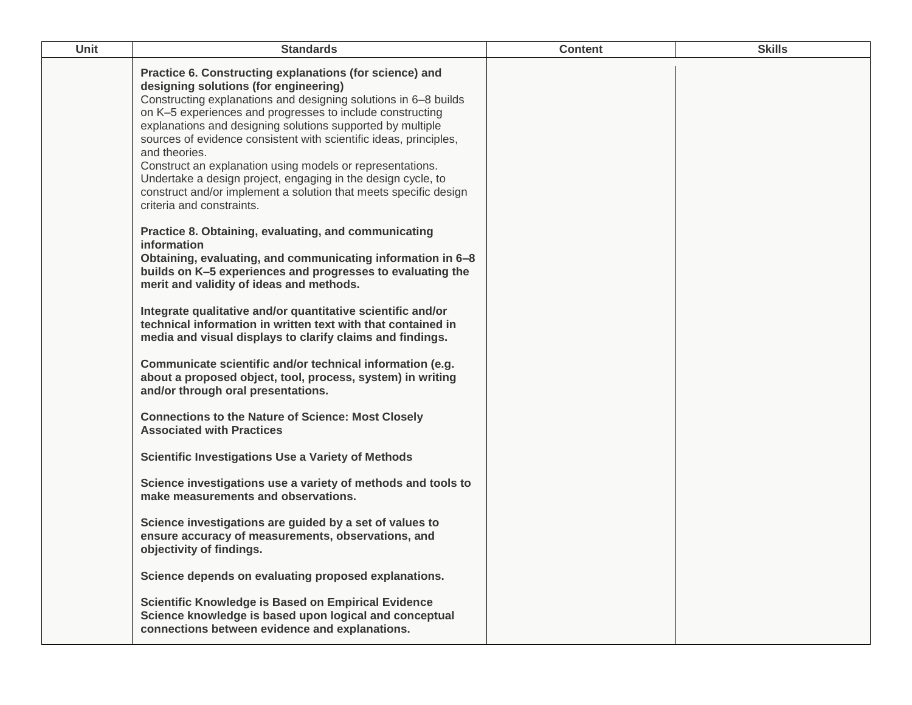| Unit | <b>Standards</b>                                                                                                                                                                                                                                                                                                                                                                                                                                                                                                                                                                                                   | <b>Content</b> | <b>Skills</b> |
|------|--------------------------------------------------------------------------------------------------------------------------------------------------------------------------------------------------------------------------------------------------------------------------------------------------------------------------------------------------------------------------------------------------------------------------------------------------------------------------------------------------------------------------------------------------------------------------------------------------------------------|----------------|---------------|
|      | Practice 6. Constructing explanations (for science) and<br>designing solutions (for engineering)<br>Constructing explanations and designing solutions in 6-8 builds<br>on K-5 experiences and progresses to include constructing<br>explanations and designing solutions supported by multiple<br>sources of evidence consistent with scientific ideas, principles,<br>and theories.<br>Construct an explanation using models or representations.<br>Undertake a design project, engaging in the design cycle, to<br>construct and/or implement a solution that meets specific design<br>criteria and constraints. |                |               |
|      | Practice 8. Obtaining, evaluating, and communicating<br>information<br>Obtaining, evaluating, and communicating information in 6-8<br>builds on K-5 experiences and progresses to evaluating the<br>merit and validity of ideas and methods.                                                                                                                                                                                                                                                                                                                                                                       |                |               |
|      | Integrate qualitative and/or quantitative scientific and/or<br>technical information in written text with that contained in<br>media and visual displays to clarify claims and findings.                                                                                                                                                                                                                                                                                                                                                                                                                           |                |               |
|      | Communicate scientific and/or technical information (e.g.<br>about a proposed object, tool, process, system) in writing<br>and/or through oral presentations.                                                                                                                                                                                                                                                                                                                                                                                                                                                      |                |               |
|      | <b>Connections to the Nature of Science: Most Closely</b><br><b>Associated with Practices</b>                                                                                                                                                                                                                                                                                                                                                                                                                                                                                                                      |                |               |
|      | <b>Scientific Investigations Use a Variety of Methods</b>                                                                                                                                                                                                                                                                                                                                                                                                                                                                                                                                                          |                |               |
|      | Science investigations use a variety of methods and tools to<br>make measurements and observations.                                                                                                                                                                                                                                                                                                                                                                                                                                                                                                                |                |               |
|      | Science investigations are guided by a set of values to<br>ensure accuracy of measurements, observations, and<br>objectivity of findings.                                                                                                                                                                                                                                                                                                                                                                                                                                                                          |                |               |
|      | Science depends on evaluating proposed explanations.                                                                                                                                                                                                                                                                                                                                                                                                                                                                                                                                                               |                |               |
|      | <b>Scientific Knowledge is Based on Empirical Evidence</b><br>Science knowledge is based upon logical and conceptual<br>connections between evidence and explanations.                                                                                                                                                                                                                                                                                                                                                                                                                                             |                |               |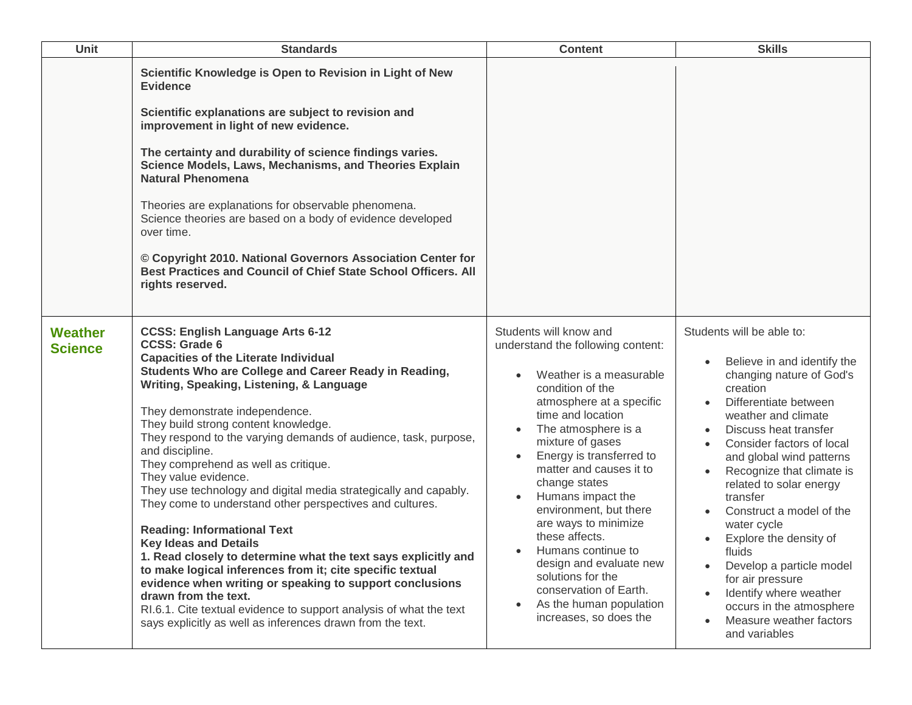| Unit                      | <b>Standards</b>                                                                                                                                                                                                                                                                                                                                                                                                                                                                                                                                                                                                                                                                                                                                                                                                                                                                                                                                                                                                  | <b>Content</b>                                                                                                                                                                                                                                                                                                                                                                                                                                                                                                                            | <b>Skills</b>                                                                                                                                                                                                                                                                                                                                                                                                                                                                                                                                                                  |
|---------------------------|-------------------------------------------------------------------------------------------------------------------------------------------------------------------------------------------------------------------------------------------------------------------------------------------------------------------------------------------------------------------------------------------------------------------------------------------------------------------------------------------------------------------------------------------------------------------------------------------------------------------------------------------------------------------------------------------------------------------------------------------------------------------------------------------------------------------------------------------------------------------------------------------------------------------------------------------------------------------------------------------------------------------|-------------------------------------------------------------------------------------------------------------------------------------------------------------------------------------------------------------------------------------------------------------------------------------------------------------------------------------------------------------------------------------------------------------------------------------------------------------------------------------------------------------------------------------------|--------------------------------------------------------------------------------------------------------------------------------------------------------------------------------------------------------------------------------------------------------------------------------------------------------------------------------------------------------------------------------------------------------------------------------------------------------------------------------------------------------------------------------------------------------------------------------|
|                           | Scientific Knowledge is Open to Revision in Light of New<br><b>Evidence</b><br>Scientific explanations are subject to revision and<br>improvement in light of new evidence.<br>The certainty and durability of science findings varies.<br>Science Models, Laws, Mechanisms, and Theories Explain<br><b>Natural Phenomena</b><br>Theories are explanations for observable phenomena.<br>Science theories are based on a body of evidence developed<br>over time.<br>© Copyright 2010. National Governors Association Center for<br>Best Practices and Council of Chief State School Officers. All<br>rights reserved.                                                                                                                                                                                                                                                                                                                                                                                             |                                                                                                                                                                                                                                                                                                                                                                                                                                                                                                                                           |                                                                                                                                                                                                                                                                                                                                                                                                                                                                                                                                                                                |
| Weather<br><b>Science</b> | <b>CCSS: English Language Arts 6-12</b><br><b>CCSS: Grade 6</b><br><b>Capacities of the Literate Individual</b><br>Students Who are College and Career Ready in Reading,<br>Writing, Speaking, Listening, & Language<br>They demonstrate independence.<br>They build strong content knowledge.<br>They respond to the varying demands of audience, task, purpose,<br>and discipline.<br>They comprehend as well as critique.<br>They value evidence.<br>They use technology and digital media strategically and capably.<br>They come to understand other perspectives and cultures.<br><b>Reading: Informational Text</b><br><b>Key Ideas and Details</b><br>1. Read closely to determine what the text says explicitly and<br>to make logical inferences from it; cite specific textual<br>evidence when writing or speaking to support conclusions<br>drawn from the text.<br>RI.6.1. Cite textual evidence to support analysis of what the text<br>says explicitly as well as inferences drawn from the text. | Students will know and<br>understand the following content:<br>Weather is a measurable<br>condition of the<br>atmosphere at a specific<br>time and location<br>The atmosphere is a<br>mixture of gases<br>Energy is transferred to<br>$\bullet$<br>matter and causes it to<br>change states<br>Humans impact the<br>environment, but there<br>are ways to minimize<br>these affects.<br>Humans continue to<br>design and evaluate new<br>solutions for the<br>conservation of Earth.<br>As the human population<br>increases, so does the | Students will be able to:<br>Believe in and identify the<br>changing nature of God's<br>creation<br>Differentiate between<br>weather and climate<br>Discuss heat transfer<br>Consider factors of local<br>and global wind patterns<br>Recognize that climate is<br>$\bullet$<br>related to solar energy<br>transfer<br>Construct a model of the<br>$\bullet$<br>water cycle<br>Explore the density of<br>fluids<br>Develop a particle model<br>for air pressure<br>Identify where weather<br>occurs in the atmosphere<br>Measure weather factors<br>$\bullet$<br>and variables |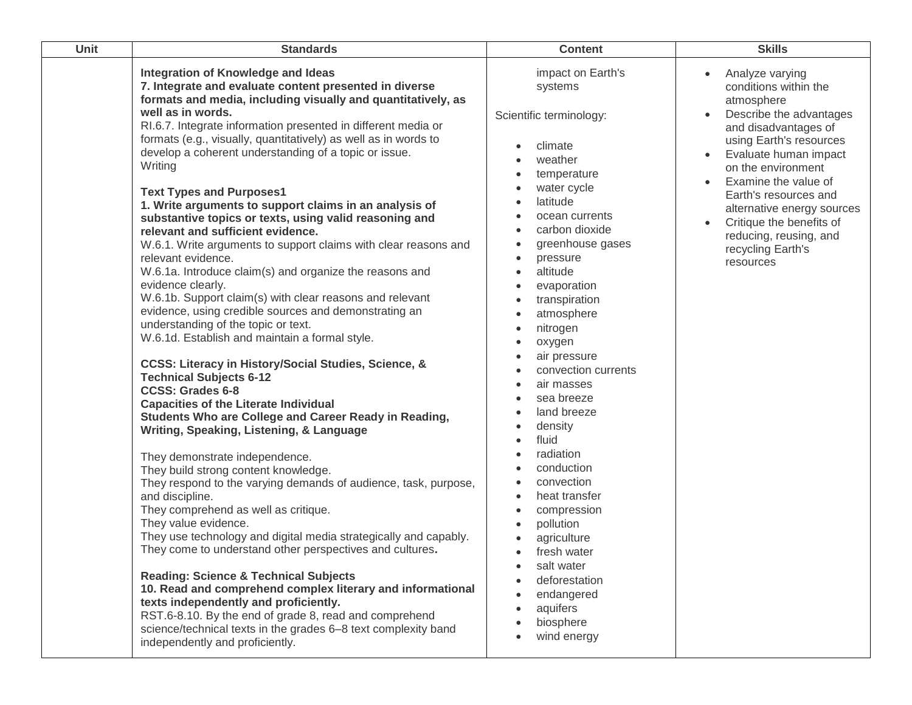| Unit | <b>Standards</b>                                                                                                                                                                                                                                                                                                                                                                                                                                                                                                                                                                                                                                                                                                                                                                                                                                                                                                                                                                                                                                                                                                                                                                                                                                                                                                                                                                                                                                                                                                                                                                                                                                                                                                                                                                                                                                                                                                                                        | <b>Content</b>                                                                                                                                                                                                                                                                                                                                                                                                                                                                                                                                                                             | <b>Skills</b>                                                                                                                                                                                                                                                                                                                                                           |
|------|---------------------------------------------------------------------------------------------------------------------------------------------------------------------------------------------------------------------------------------------------------------------------------------------------------------------------------------------------------------------------------------------------------------------------------------------------------------------------------------------------------------------------------------------------------------------------------------------------------------------------------------------------------------------------------------------------------------------------------------------------------------------------------------------------------------------------------------------------------------------------------------------------------------------------------------------------------------------------------------------------------------------------------------------------------------------------------------------------------------------------------------------------------------------------------------------------------------------------------------------------------------------------------------------------------------------------------------------------------------------------------------------------------------------------------------------------------------------------------------------------------------------------------------------------------------------------------------------------------------------------------------------------------------------------------------------------------------------------------------------------------------------------------------------------------------------------------------------------------------------------------------------------------------------------------------------------------|--------------------------------------------------------------------------------------------------------------------------------------------------------------------------------------------------------------------------------------------------------------------------------------------------------------------------------------------------------------------------------------------------------------------------------------------------------------------------------------------------------------------------------------------------------------------------------------------|-------------------------------------------------------------------------------------------------------------------------------------------------------------------------------------------------------------------------------------------------------------------------------------------------------------------------------------------------------------------------|
|      | <b>Integration of Knowledge and Ideas</b><br>7. Integrate and evaluate content presented in diverse<br>formats and media, including visually and quantitatively, as<br>well as in words.<br>RI.6.7. Integrate information presented in different media or<br>formats (e.g., visually, quantitatively) as well as in words to<br>develop a coherent understanding of a topic or issue.<br>Writing<br><b>Text Types and Purposes1</b><br>1. Write arguments to support claims in an analysis of<br>substantive topics or texts, using valid reasoning and<br>relevant and sufficient evidence.<br>W.6.1. Write arguments to support claims with clear reasons and<br>relevant evidence.<br>W.6.1a. Introduce claim(s) and organize the reasons and<br>evidence clearly.<br>W.6.1b. Support claim(s) with clear reasons and relevant<br>evidence, using credible sources and demonstrating an<br>understanding of the topic or text.<br>W.6.1d. Establish and maintain a formal style.<br>CCSS: Literacy in History/Social Studies, Science, &<br><b>Technical Subjects 6-12</b><br><b>CCSS: Grades 6-8</b><br><b>Capacities of the Literate Individual</b><br>Students Who are College and Career Ready in Reading,<br>Writing, Speaking, Listening, & Language<br>They demonstrate independence.<br>They build strong content knowledge.<br>They respond to the varying demands of audience, task, purpose,<br>and discipline.<br>They comprehend as well as critique.<br>They value evidence.<br>They use technology and digital media strategically and capably.<br>They come to understand other perspectives and cultures.<br><b>Reading: Science &amp; Technical Subjects</b><br>10. Read and comprehend complex literary and informational<br>texts independently and proficiently.<br>RST.6-8.10. By the end of grade 8, read and comprehend<br>science/technical texts in the grades 6-8 text complexity band<br>independently and proficiently. | impact on Earth's<br>systems<br>Scientific terminology:<br>climate<br>weather<br>temperature<br>water cycle<br>latitude<br>ocean currents<br>carbon dioxide<br>greenhouse gases<br>pressure<br>altitude<br>evaporation<br>transpiration<br>atmosphere<br>nitrogen<br>oxygen<br>air pressure<br>convection currents<br>air masses<br>sea breeze<br>land breeze<br>density<br>fluid<br>radiation<br>conduction<br>convection<br>heat transfer<br>compression<br>pollution<br>agriculture<br>fresh water<br>salt water<br>deforestation<br>endangered<br>aquifers<br>biosphere<br>wind energy | Analyze varying<br>$\bullet$<br>conditions within the<br>atmosphere<br>Describe the advantages<br>and disadvantages of<br>using Earth's resources<br>Evaluate human impact<br>on the environment<br>Examine the value of<br>Earth's resources and<br>alternative energy sources<br>Critique the benefits of<br>reducing, reusing, and<br>recycling Earth's<br>resources |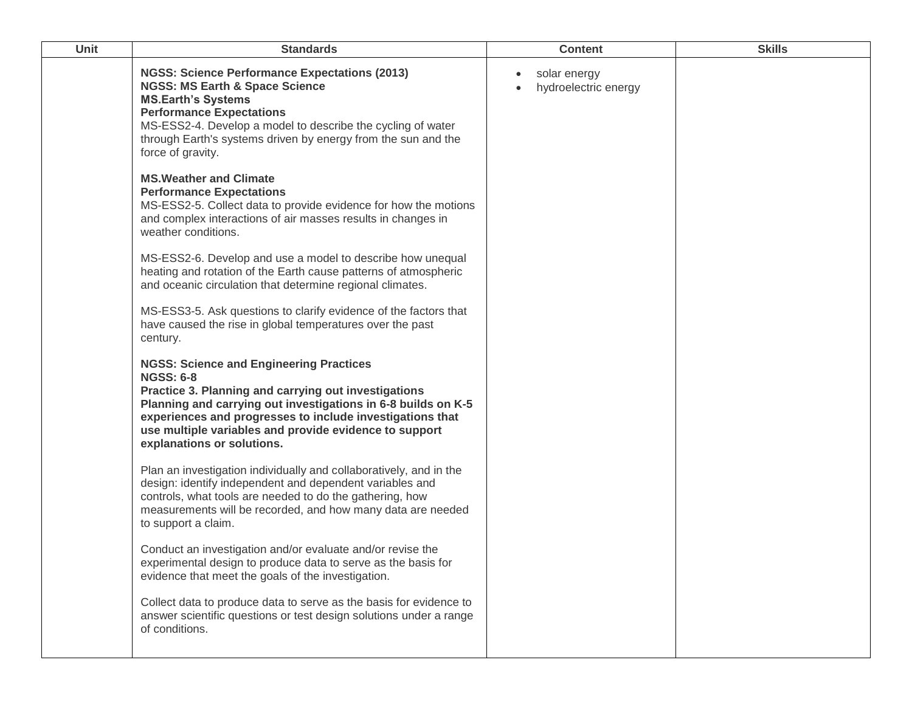| Unit | <b>Standards</b>                                                                                                                                                                                                                                                                                                                                         | <b>Content</b>                                    | <b>Skills</b> |
|------|----------------------------------------------------------------------------------------------------------------------------------------------------------------------------------------------------------------------------------------------------------------------------------------------------------------------------------------------------------|---------------------------------------------------|---------------|
|      | <b>NGSS: Science Performance Expectations (2013)</b><br><b>NGSS: MS Earth &amp; Space Science</b><br><b>MS.Earth's Systems</b><br><b>Performance Expectations</b><br>MS-ESS2-4. Develop a model to describe the cycling of water<br>through Earth's systems driven by energy from the sun and the<br>force of gravity.<br><b>MS. Weather and Climate</b> | solar energy<br>$\bullet$<br>hydroelectric energy |               |
|      | <b>Performance Expectations</b><br>MS-ESS2-5. Collect data to provide evidence for how the motions<br>and complex interactions of air masses results in changes in<br>weather conditions.                                                                                                                                                                |                                                   |               |
|      | MS-ESS2-6. Develop and use a model to describe how unequal<br>heating and rotation of the Earth cause patterns of atmospheric<br>and oceanic circulation that determine regional climates.                                                                                                                                                               |                                                   |               |
|      | MS-ESS3-5. Ask questions to clarify evidence of the factors that<br>have caused the rise in global temperatures over the past<br>century.                                                                                                                                                                                                                |                                                   |               |
|      | <b>NGSS: Science and Engineering Practices</b><br><b>NGSS: 6-8</b><br>Practice 3. Planning and carrying out investigations<br>Planning and carrying out investigations in 6-8 builds on K-5<br>experiences and progresses to include investigations that<br>use multiple variables and provide evidence to support<br>explanations or solutions.         |                                                   |               |
|      | Plan an investigation individually and collaboratively, and in the<br>design: identify independent and dependent variables and<br>controls, what tools are needed to do the gathering, how<br>measurements will be recorded, and how many data are needed<br>to support a claim.                                                                         |                                                   |               |
|      | Conduct an investigation and/or evaluate and/or revise the<br>experimental design to produce data to serve as the basis for<br>evidence that meet the goals of the investigation.                                                                                                                                                                        |                                                   |               |
|      | Collect data to produce data to serve as the basis for evidence to<br>answer scientific questions or test design solutions under a range<br>of conditions.                                                                                                                                                                                               |                                                   |               |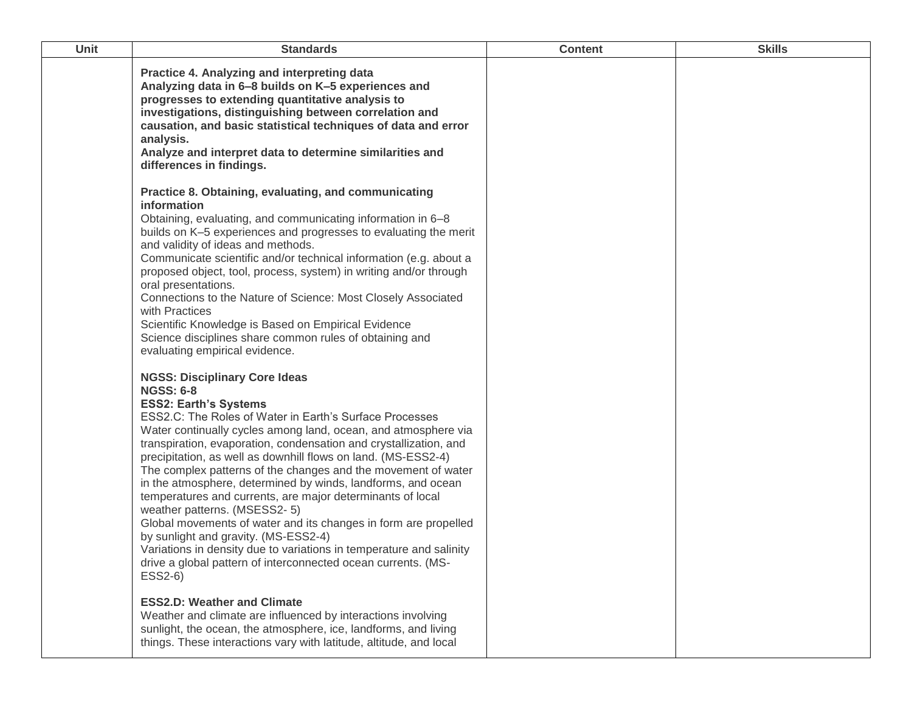| Unit | <b>Standards</b>                                                                                                                                                                                                                                                                                                                                                                                                                                                                                                                                                                                                                                                                                                                                                                                                                                         | <b>Content</b> | <b>Skills</b> |
|------|----------------------------------------------------------------------------------------------------------------------------------------------------------------------------------------------------------------------------------------------------------------------------------------------------------------------------------------------------------------------------------------------------------------------------------------------------------------------------------------------------------------------------------------------------------------------------------------------------------------------------------------------------------------------------------------------------------------------------------------------------------------------------------------------------------------------------------------------------------|----------------|---------------|
|      | Practice 4. Analyzing and interpreting data<br>Analyzing data in 6-8 builds on K-5 experiences and<br>progresses to extending quantitative analysis to<br>investigations, distinguishing between correlation and<br>causation, and basic statistical techniques of data and error<br>analysis.<br>Analyze and interpret data to determine similarities and<br>differences in findings.                                                                                                                                                                                                                                                                                                                                                                                                                                                                   |                |               |
|      | Practice 8. Obtaining, evaluating, and communicating<br>information<br>Obtaining, evaluating, and communicating information in 6-8<br>builds on K-5 experiences and progresses to evaluating the merit<br>and validity of ideas and methods.<br>Communicate scientific and/or technical information (e.g. about a<br>proposed object, tool, process, system) in writing and/or through<br>oral presentations.<br>Connections to the Nature of Science: Most Closely Associated<br>with Practices<br>Scientific Knowledge is Based on Empirical Evidence<br>Science disciplines share common rules of obtaining and<br>evaluating empirical evidence.                                                                                                                                                                                                     |                |               |
|      | <b>NGSS: Disciplinary Core Ideas</b><br><b>NGSS: 6-8</b><br><b>ESS2: Earth's Systems</b><br>ESS2.C: The Roles of Water in Earth's Surface Processes<br>Water continually cycles among land, ocean, and atmosphere via<br>transpiration, evaporation, condensation and crystallization, and<br>precipitation, as well as downhill flows on land. (MS-ESS2-4)<br>The complex patterns of the changes and the movement of water<br>in the atmosphere, determined by winds, landforms, and ocean<br>temperatures and currents, are major determinants of local<br>weather patterns. (MSESS2-5)<br>Global movements of water and its changes in form are propelled<br>by sunlight and gravity. (MS-ESS2-4)<br>Variations in density due to variations in temperature and salinity<br>drive a global pattern of interconnected ocean currents. (MS-<br>ESS2-6) |                |               |
|      | <b>ESS2.D: Weather and Climate</b><br>Weather and climate are influenced by interactions involving<br>sunlight, the ocean, the atmosphere, ice, landforms, and living<br>things. These interactions vary with latitude, altitude, and local                                                                                                                                                                                                                                                                                                                                                                                                                                                                                                                                                                                                              |                |               |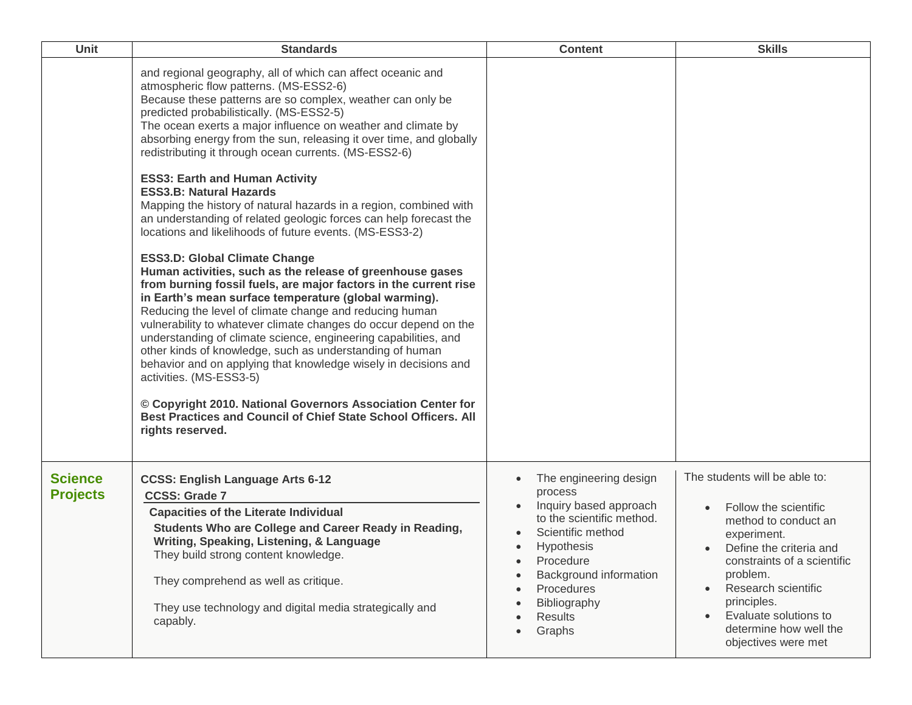| <b>Unit</b>                       | <b>Standards</b>                                                                                                                                                                                                                                                                                                                                                                                                                                                                                                                                                                                                                                                                                                                                                                                                                                                                                                                                                                                                                                                                                                                                                                                                                                                                                                                                                                                                                                   | <b>Content</b>                                                                                                                                                                                                                                                      | <b>Skills</b>                                                                                                                                                                                                                                                                                                 |
|-----------------------------------|----------------------------------------------------------------------------------------------------------------------------------------------------------------------------------------------------------------------------------------------------------------------------------------------------------------------------------------------------------------------------------------------------------------------------------------------------------------------------------------------------------------------------------------------------------------------------------------------------------------------------------------------------------------------------------------------------------------------------------------------------------------------------------------------------------------------------------------------------------------------------------------------------------------------------------------------------------------------------------------------------------------------------------------------------------------------------------------------------------------------------------------------------------------------------------------------------------------------------------------------------------------------------------------------------------------------------------------------------------------------------------------------------------------------------------------------------|---------------------------------------------------------------------------------------------------------------------------------------------------------------------------------------------------------------------------------------------------------------------|---------------------------------------------------------------------------------------------------------------------------------------------------------------------------------------------------------------------------------------------------------------------------------------------------------------|
|                                   | and regional geography, all of which can affect oceanic and<br>atmospheric flow patterns. (MS-ESS2-6)<br>Because these patterns are so complex, weather can only be<br>predicted probabilistically. (MS-ESS2-5)<br>The ocean exerts a major influence on weather and climate by<br>absorbing energy from the sun, releasing it over time, and globally<br>redistributing it through ocean currents. (MS-ESS2-6)<br><b>ESS3: Earth and Human Activity</b><br><b>ESS3.B: Natural Hazards</b><br>Mapping the history of natural hazards in a region, combined with<br>an understanding of related geologic forces can help forecast the<br>locations and likelihoods of future events. (MS-ESS3-2)<br><b>ESS3.D: Global Climate Change</b><br>Human activities, such as the release of greenhouse gases<br>from burning fossil fuels, are major factors in the current rise<br>in Earth's mean surface temperature (global warming).<br>Reducing the level of climate change and reducing human<br>vulnerability to whatever climate changes do occur depend on the<br>understanding of climate science, engineering capabilities, and<br>other kinds of knowledge, such as understanding of human<br>behavior and on applying that knowledge wisely in decisions and<br>activities. (MS-ESS3-5)<br>© Copyright 2010. National Governors Association Center for<br>Best Practices and Council of Chief State School Officers. All<br>rights reserved. |                                                                                                                                                                                                                                                                     |                                                                                                                                                                                                                                                                                                               |
| <b>Science</b><br><b>Projects</b> | <b>CCSS: English Language Arts 6-12</b><br><b>CCSS: Grade 7</b><br><b>Capacities of the Literate Individual</b><br>Students Who are College and Career Ready in Reading,<br>Writing, Speaking, Listening, & Language<br>They build strong content knowledge.<br>They comprehend as well as critique.<br>They use technology and digital media strategically and<br>capably.                                                                                                                                                                                                                                                                                                                                                                                                                                                                                                                                                                                                                                                                                                                                                                                                                                                                                                                                                                                                                                                                        | The engineering design<br>process<br>Inquiry based approach<br>to the scientific method.<br>Scientific method<br><b>Hypothesis</b><br>$\bullet$<br>Procedure<br>$\bullet$<br>Background information<br>Procedures<br>Bibliography<br>Results<br>Graphs<br>$\bullet$ | The students will be able to:<br>Follow the scientific<br>method to conduct an<br>experiment.<br>Define the criteria and<br>constraints of a scientific<br>problem.<br>Research scientific<br>$\bullet$<br>principles.<br>Evaluate solutions to<br>$\bullet$<br>determine how well the<br>objectives were met |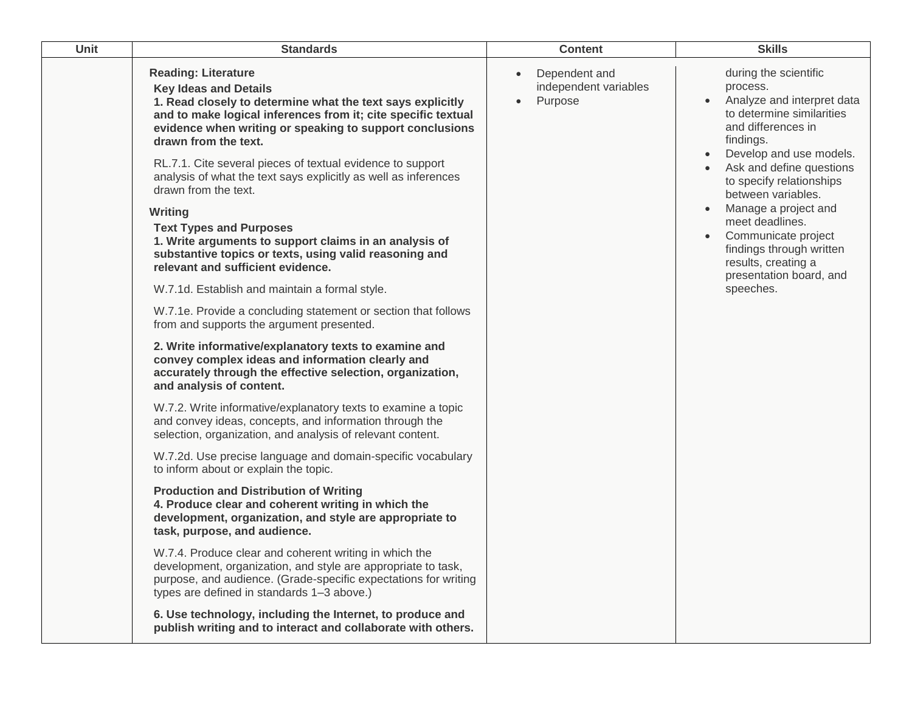| Unit | <b>Standards</b>                                                                                                                                                                                                                                                                                                                                                                                                                                                                                                                                                                                                                                                                                                                                                                                                                                                                                                                                                                                                                                                                                                                                                                                                                                                                                                                                                                                                                                                                                                                                                                                                                                                                                                                                                                                                                                                                                 | <b>Content</b>                                                 | <b>Skills</b>                                                                                                                                                                                                                                                                                                                                                                                         |
|------|--------------------------------------------------------------------------------------------------------------------------------------------------------------------------------------------------------------------------------------------------------------------------------------------------------------------------------------------------------------------------------------------------------------------------------------------------------------------------------------------------------------------------------------------------------------------------------------------------------------------------------------------------------------------------------------------------------------------------------------------------------------------------------------------------------------------------------------------------------------------------------------------------------------------------------------------------------------------------------------------------------------------------------------------------------------------------------------------------------------------------------------------------------------------------------------------------------------------------------------------------------------------------------------------------------------------------------------------------------------------------------------------------------------------------------------------------------------------------------------------------------------------------------------------------------------------------------------------------------------------------------------------------------------------------------------------------------------------------------------------------------------------------------------------------------------------------------------------------------------------------------------------------|----------------------------------------------------------------|-------------------------------------------------------------------------------------------------------------------------------------------------------------------------------------------------------------------------------------------------------------------------------------------------------------------------------------------------------------------------------------------------------|
|      | <b>Reading: Literature</b><br><b>Key Ideas and Details</b><br>1. Read closely to determine what the text says explicitly<br>and to make logical inferences from it; cite specific textual<br>evidence when writing or speaking to support conclusions<br>drawn from the text.<br>RL.7.1. Cite several pieces of textual evidence to support<br>analysis of what the text says explicitly as well as inferences<br>drawn from the text.<br>Writing<br><b>Text Types and Purposes</b><br>1. Write arguments to support claims in an analysis of<br>substantive topics or texts, using valid reasoning and<br>relevant and sufficient evidence.<br>W.7.1d. Establish and maintain a formal style.<br>W.7.1e. Provide a concluding statement or section that follows<br>from and supports the argument presented.<br>2. Write informative/explanatory texts to examine and<br>convey complex ideas and information clearly and<br>accurately through the effective selection, organization,<br>and analysis of content.<br>W.7.2. Write informative/explanatory texts to examine a topic<br>and convey ideas, concepts, and information through the<br>selection, organization, and analysis of relevant content.<br>W.7.2d. Use precise language and domain-specific vocabulary<br>to inform about or explain the topic.<br><b>Production and Distribution of Writing</b><br>4. Produce clear and coherent writing in which the<br>development, organization, and style are appropriate to<br>task, purpose, and audience.<br>W.7.4. Produce clear and coherent writing in which the<br>development, organization, and style are appropriate to task,<br>purpose, and audience. (Grade-specific expectations for writing<br>types are defined in standards 1-3 above.)<br>6. Use technology, including the Internet, to produce and<br>publish writing and to interact and collaborate with others. | Dependent and<br>$\bullet$<br>independent variables<br>Purpose | during the scientific<br>process.<br>Analyze and interpret data<br>to determine similarities<br>and differences in<br>findings.<br>Develop and use models.<br>Ask and define questions<br>to specify relationships<br>between variables.<br>Manage a project and<br>meet deadlines.<br>Communicate project<br>findings through written<br>results, creating a<br>presentation board, and<br>speeches. |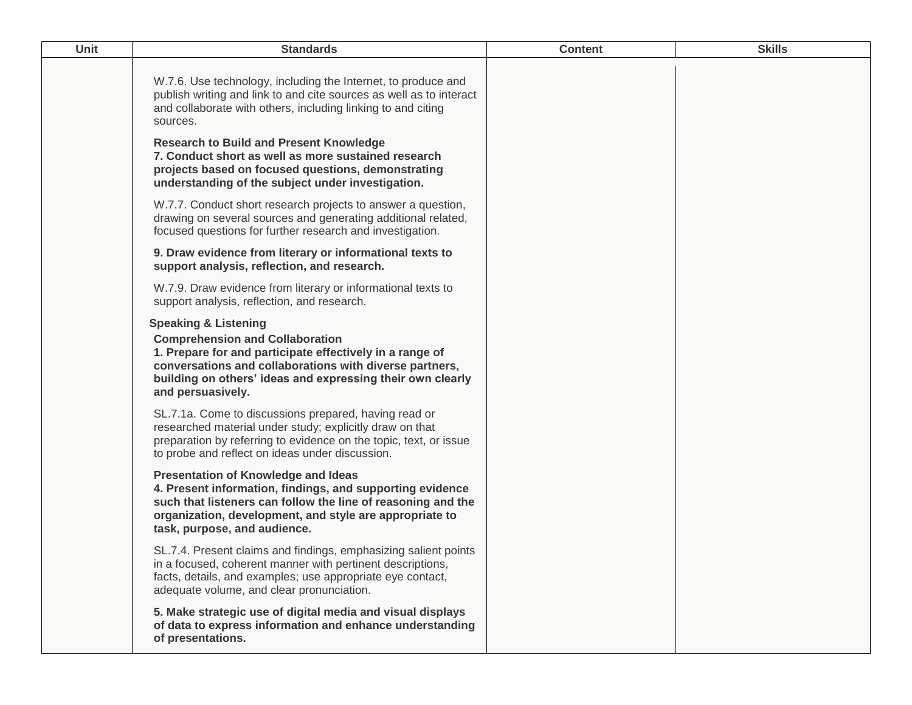| W.7.6. Use technology, including the Internet, to produce and<br>publish writing and link to and cite sources as well as to interact<br>and collaborate with others, including linking to and citing<br>sources.<br><b>Research to Build and Present Knowledge</b><br>7. Conduct short as well as more sustained research<br>projects based on focused questions, demonstrating<br>understanding of the subject under investigation.<br>W.7.7. Conduct short research projects to answer a question,<br>drawing on several sources and generating additional related,<br>focused questions for further research and investigation.<br>9. Draw evidence from literary or informational texts to<br>support analysis, reflection, and research.<br>W.7.9. Draw evidence from literary or informational texts to<br>support analysis, reflection, and research.<br><b>Speaking &amp; Listening</b><br><b>Comprehension and Collaboration</b><br>1. Prepare for and participate effectively in a range of<br>conversations and collaborations with diverse partners,<br>building on others' ideas and expressing their own clearly<br>and persuasively.<br>SL.7.1a. Come to discussions prepared, having read or<br>researched material under study; explicitly draw on that<br>preparation by referring to evidence on the topic, text, or issue<br>to probe and reflect on ideas under discussion.<br><b>Presentation of Knowledge and Ideas</b><br>4. Present information, findings, and supporting evidence<br>such that listeners can follow the line of reasoning and the<br>organization, development, and style are appropriate to<br>task, purpose, and audience.<br>SL.7.4. Present claims and findings, emphasizing salient points<br>in a focused, coherent manner with pertinent descriptions,<br>facts, details, and examples; use appropriate eye contact,<br>adequate volume, and clear pronunciation.<br>5. Make strategic use of digital media and visual displays<br>of data to express information and enhance understanding<br>of presentations. | <b>Unit</b> | <b>Standards</b> | <b>Content</b> | <b>Skills</b> |
|-------------------------------------------------------------------------------------------------------------------------------------------------------------------------------------------------------------------------------------------------------------------------------------------------------------------------------------------------------------------------------------------------------------------------------------------------------------------------------------------------------------------------------------------------------------------------------------------------------------------------------------------------------------------------------------------------------------------------------------------------------------------------------------------------------------------------------------------------------------------------------------------------------------------------------------------------------------------------------------------------------------------------------------------------------------------------------------------------------------------------------------------------------------------------------------------------------------------------------------------------------------------------------------------------------------------------------------------------------------------------------------------------------------------------------------------------------------------------------------------------------------------------------------------------------------------------------------------------------------------------------------------------------------------------------------------------------------------------------------------------------------------------------------------------------------------------------------------------------------------------------------------------------------------------------------------------------------------------------------------------------------------------------------------------------------------|-------------|------------------|----------------|---------------|
|                                                                                                                                                                                                                                                                                                                                                                                                                                                                                                                                                                                                                                                                                                                                                                                                                                                                                                                                                                                                                                                                                                                                                                                                                                                                                                                                                                                                                                                                                                                                                                                                                                                                                                                                                                                                                                                                                                                                                                                                                                                                   |             |                  |                |               |
|                                                                                                                                                                                                                                                                                                                                                                                                                                                                                                                                                                                                                                                                                                                                                                                                                                                                                                                                                                                                                                                                                                                                                                                                                                                                                                                                                                                                                                                                                                                                                                                                                                                                                                                                                                                                                                                                                                                                                                                                                                                                   |             |                  |                |               |
|                                                                                                                                                                                                                                                                                                                                                                                                                                                                                                                                                                                                                                                                                                                                                                                                                                                                                                                                                                                                                                                                                                                                                                                                                                                                                                                                                                                                                                                                                                                                                                                                                                                                                                                                                                                                                                                                                                                                                                                                                                                                   |             |                  |                |               |
|                                                                                                                                                                                                                                                                                                                                                                                                                                                                                                                                                                                                                                                                                                                                                                                                                                                                                                                                                                                                                                                                                                                                                                                                                                                                                                                                                                                                                                                                                                                                                                                                                                                                                                                                                                                                                                                                                                                                                                                                                                                                   |             |                  |                |               |
|                                                                                                                                                                                                                                                                                                                                                                                                                                                                                                                                                                                                                                                                                                                                                                                                                                                                                                                                                                                                                                                                                                                                                                                                                                                                                                                                                                                                                                                                                                                                                                                                                                                                                                                                                                                                                                                                                                                                                                                                                                                                   |             |                  |                |               |
|                                                                                                                                                                                                                                                                                                                                                                                                                                                                                                                                                                                                                                                                                                                                                                                                                                                                                                                                                                                                                                                                                                                                                                                                                                                                                                                                                                                                                                                                                                                                                                                                                                                                                                                                                                                                                                                                                                                                                                                                                                                                   |             |                  |                |               |
|                                                                                                                                                                                                                                                                                                                                                                                                                                                                                                                                                                                                                                                                                                                                                                                                                                                                                                                                                                                                                                                                                                                                                                                                                                                                                                                                                                                                                                                                                                                                                                                                                                                                                                                                                                                                                                                                                                                                                                                                                                                                   |             |                  |                |               |
|                                                                                                                                                                                                                                                                                                                                                                                                                                                                                                                                                                                                                                                                                                                                                                                                                                                                                                                                                                                                                                                                                                                                                                                                                                                                                                                                                                                                                                                                                                                                                                                                                                                                                                                                                                                                                                                                                                                                                                                                                                                                   |             |                  |                |               |
|                                                                                                                                                                                                                                                                                                                                                                                                                                                                                                                                                                                                                                                                                                                                                                                                                                                                                                                                                                                                                                                                                                                                                                                                                                                                                                                                                                                                                                                                                                                                                                                                                                                                                                                                                                                                                                                                                                                                                                                                                                                                   |             |                  |                |               |
|                                                                                                                                                                                                                                                                                                                                                                                                                                                                                                                                                                                                                                                                                                                                                                                                                                                                                                                                                                                                                                                                                                                                                                                                                                                                                                                                                                                                                                                                                                                                                                                                                                                                                                                                                                                                                                                                                                                                                                                                                                                                   |             |                  |                |               |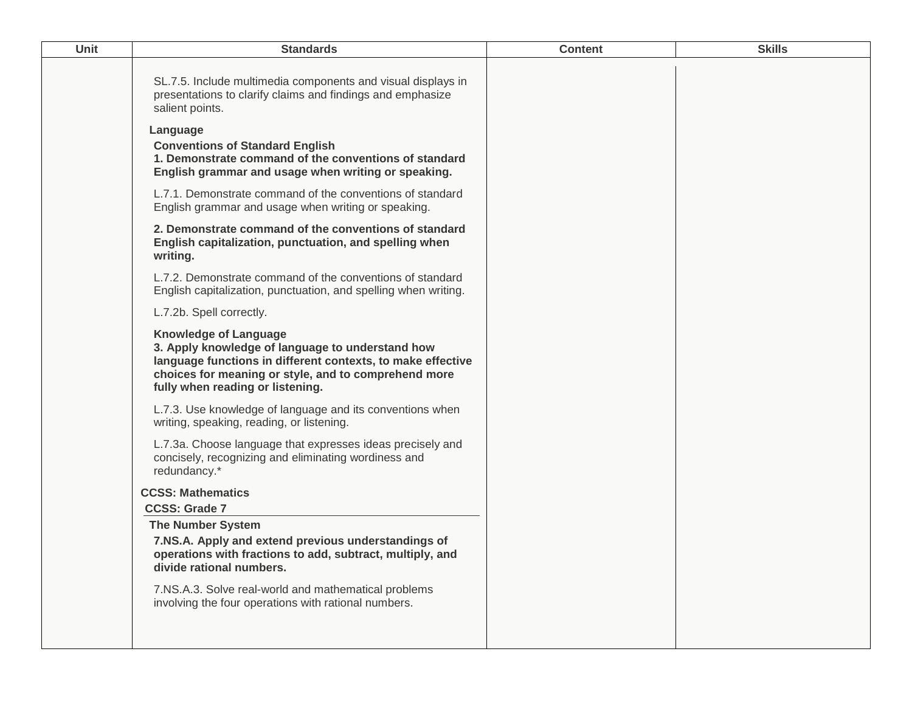| Unit | <b>Standards</b>                                                                                                                                                                                                                            | <b>Content</b> | <b>Skills</b> |
|------|---------------------------------------------------------------------------------------------------------------------------------------------------------------------------------------------------------------------------------------------|----------------|---------------|
|      | SL.7.5. Include multimedia components and visual displays in<br>presentations to clarify claims and findings and emphasize<br>salient points.<br>Language                                                                                   |                |               |
|      | <b>Conventions of Standard English</b><br>1. Demonstrate command of the conventions of standard<br>English grammar and usage when writing or speaking.                                                                                      |                |               |
|      | L.7.1. Demonstrate command of the conventions of standard<br>English grammar and usage when writing or speaking.                                                                                                                            |                |               |
|      | 2. Demonstrate command of the conventions of standard<br>English capitalization, punctuation, and spelling when<br>writing.                                                                                                                 |                |               |
|      | L.7.2. Demonstrate command of the conventions of standard<br>English capitalization, punctuation, and spelling when writing.                                                                                                                |                |               |
|      | L.7.2b. Spell correctly.                                                                                                                                                                                                                    |                |               |
|      | <b>Knowledge of Language</b><br>3. Apply knowledge of language to understand how<br>language functions in different contexts, to make effective<br>choices for meaning or style, and to comprehend more<br>fully when reading or listening. |                |               |
|      | L.7.3. Use knowledge of language and its conventions when<br>writing, speaking, reading, or listening.                                                                                                                                      |                |               |
|      | L.7.3a. Choose language that expresses ideas precisely and<br>concisely, recognizing and eliminating wordiness and<br>redundancy.*                                                                                                          |                |               |
|      | <b>CCSS: Mathematics</b>                                                                                                                                                                                                                    |                |               |
|      | <b>CCSS: Grade 7</b>                                                                                                                                                                                                                        |                |               |
|      | <b>The Number System</b><br>7.NS.A. Apply and extend previous understandings of<br>operations with fractions to add, subtract, multiply, and<br>divide rational numbers.                                                                    |                |               |
|      | 7.NS.A.3. Solve real-world and mathematical problems<br>involving the four operations with rational numbers.                                                                                                                                |                |               |
|      |                                                                                                                                                                                                                                             |                |               |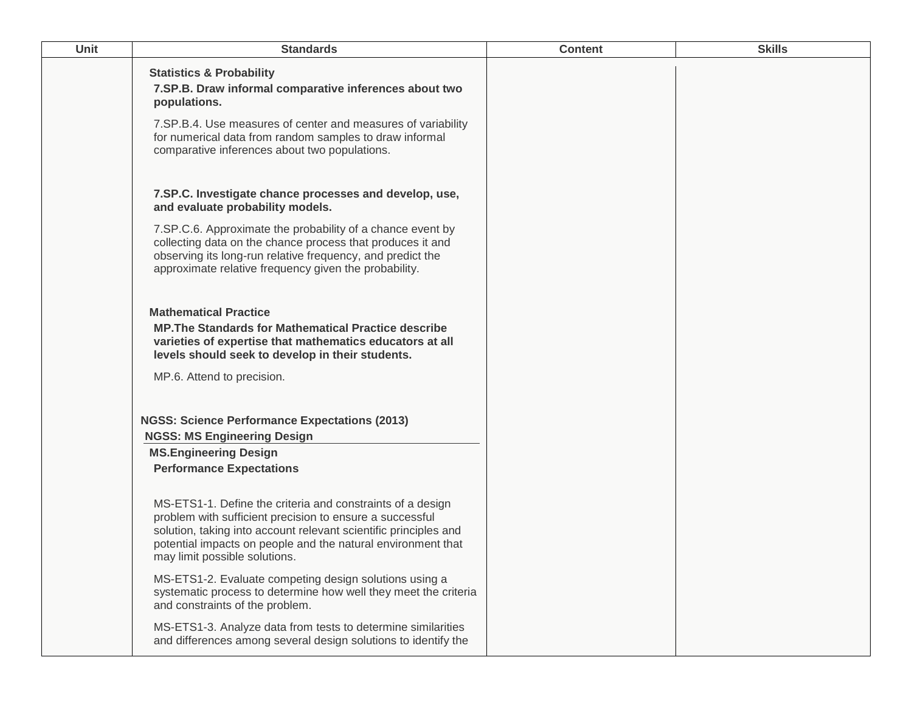| Unit | <b>Standards</b>                                                                                                                                                                                                                                                                            | <b>Content</b> | <b>Skills</b> |
|------|---------------------------------------------------------------------------------------------------------------------------------------------------------------------------------------------------------------------------------------------------------------------------------------------|----------------|---------------|
|      | <b>Statistics &amp; Probability</b><br>7.SP.B. Draw informal comparative inferences about two<br>populations.                                                                                                                                                                               |                |               |
|      | 7.SP.B.4. Use measures of center and measures of variability<br>for numerical data from random samples to draw informal<br>comparative inferences about two populations.                                                                                                                    |                |               |
|      | 7.SP.C. Investigate chance processes and develop, use,<br>and evaluate probability models.                                                                                                                                                                                                  |                |               |
|      | 7. SP.C.6. Approximate the probability of a chance event by<br>collecting data on the chance process that produces it and<br>observing its long-run relative frequency, and predict the<br>approximate relative frequency given the probability.                                            |                |               |
|      | <b>Mathematical Practice</b><br><b>MP. The Standards for Mathematical Practice describe</b><br>varieties of expertise that mathematics educators at all<br>levels should seek to develop in their students.                                                                                 |                |               |
|      | MP.6. Attend to precision.                                                                                                                                                                                                                                                                  |                |               |
|      | <b>NGSS: Science Performance Expectations (2013)</b><br><b>NGSS: MS Engineering Design</b>                                                                                                                                                                                                  |                |               |
|      | <b>MS.Engineering Design</b><br><b>Performance Expectations</b>                                                                                                                                                                                                                             |                |               |
|      | MS-ETS1-1. Define the criteria and constraints of a design<br>problem with sufficient precision to ensure a successful<br>solution, taking into account relevant scientific principles and<br>potential impacts on people and the natural environment that<br>may limit possible solutions. |                |               |
|      | MS-ETS1-2. Evaluate competing design solutions using a<br>systematic process to determine how well they meet the criteria<br>and constraints of the problem.                                                                                                                                |                |               |
|      | MS-ETS1-3. Analyze data from tests to determine similarities<br>and differences among several design solutions to identify the                                                                                                                                                              |                |               |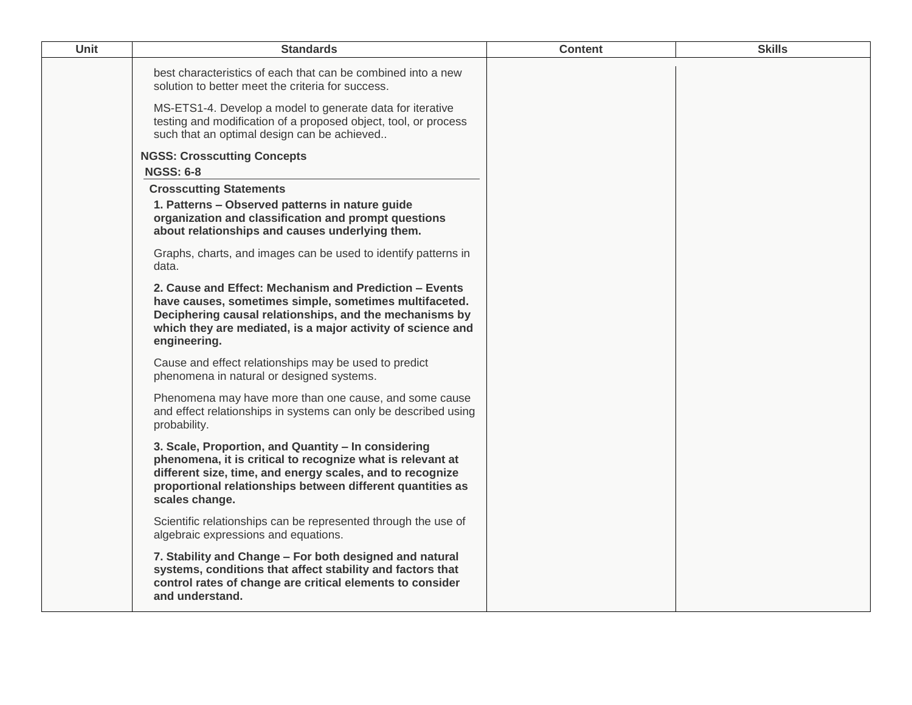| Unit | <b>Standards</b>                                                                                                                                                                                                                                               | <b>Content</b> | <b>Skills</b> |
|------|----------------------------------------------------------------------------------------------------------------------------------------------------------------------------------------------------------------------------------------------------------------|----------------|---------------|
|      | best characteristics of each that can be combined into a new<br>solution to better meet the criteria for success.                                                                                                                                              |                |               |
|      | MS-ETS1-4. Develop a model to generate data for iterative<br>testing and modification of a proposed object, tool, or process<br>such that an optimal design can be achieved                                                                                    |                |               |
|      | <b>NGSS: Crosscutting Concepts</b>                                                                                                                                                                                                                             |                |               |
|      | <b>NGSS: 6-8</b>                                                                                                                                                                                                                                               |                |               |
|      | <b>Crosscutting Statements</b>                                                                                                                                                                                                                                 |                |               |
|      | 1. Patterns - Observed patterns in nature guide<br>organization and classification and prompt questions<br>about relationships and causes underlying them.                                                                                                     |                |               |
|      | Graphs, charts, and images can be used to identify patterns in<br>data.                                                                                                                                                                                        |                |               |
|      | 2. Cause and Effect: Mechanism and Prediction - Events<br>have causes, sometimes simple, sometimes multifaceted.<br>Deciphering causal relationships, and the mechanisms by<br>which they are mediated, is a major activity of science and<br>engineering.     |                |               |
|      | Cause and effect relationships may be used to predict<br>phenomena in natural or designed systems.                                                                                                                                                             |                |               |
|      | Phenomena may have more than one cause, and some cause<br>and effect relationships in systems can only be described using<br>probability.                                                                                                                      |                |               |
|      | 3. Scale, Proportion, and Quantity - In considering<br>phenomena, it is critical to recognize what is relevant at<br>different size, time, and energy scales, and to recognize<br>proportional relationships between different quantities as<br>scales change. |                |               |
|      | Scientific relationships can be represented through the use of<br>algebraic expressions and equations.                                                                                                                                                         |                |               |
|      | 7. Stability and Change - For both designed and natural<br>systems, conditions that affect stability and factors that<br>control rates of change are critical elements to consider<br>and understand.                                                          |                |               |